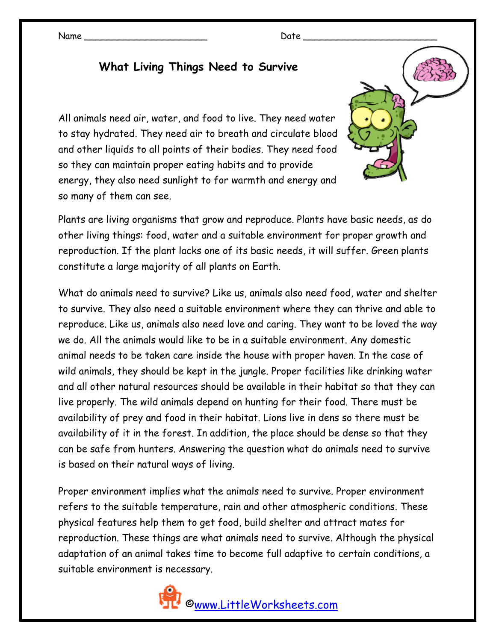Name \_\_\_\_\_\_\_\_\_\_\_\_\_\_\_\_\_\_\_\_\_\_ Date \_\_\_\_\_\_\_\_\_\_\_\_\_\_\_\_\_\_\_\_\_\_\_\_

## **What Living Things Need to Survive**

All animals need air, water, and food to live. They need water to stay hydrated. They need air to breath and circulate blood and other liquids to all points of their bodies. They need food so they can maintain proper eating habits and to provide energy, they also need sunlight to for warmth and energy and so many of them can see.

Plants are living organisms that grow and reproduce. Plants have basic needs, as do other living things: food, water and a suitable environment for proper growth and reproduction. If the plant lacks one of its basic needs, it will suffer. Green plants constitute a large majority of all plants on Earth.

What do animals need to survive? Like us, animals also need food, water and shelter to survive. They also need a suitable environment where they can thrive and able to reproduce. Like us, animals also need love and caring. They want to be loved the way we do. All the animals would like to be in a suitable environment. Any domestic animal needs to be taken care inside the house with proper haven. In the case of wild animals, they should be kept in the jungle. Proper facilities like drinking water and all other natural resources should be available in their habitat so that they can live properly. The wild animals depend on hunting for their food. There must be availability of prey and food in their habitat. Lions live in dens so there must be availability of it in the forest. In addition, the place should be dense so that they can be safe from hunters. Answering the question what do animals need to survive is based on their natural ways of living.

Proper environment implies what the animals need to survive. Proper environment refers to the suitable temperature, rain and other atmospheric conditions. These physical features help them to get food, build shelter and attract mates for reproduction. These things are what animals need to survive. Although the physical adaptation of an animal takes time to become full adaptive to certain conditions, a suitable environment is necessary.

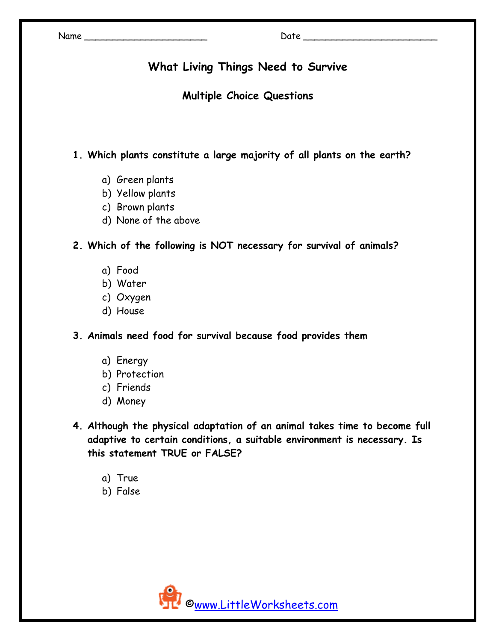## **What Living Things Need to Survive**

### **Multiple Choice Questions**

**1. Which plants constitute a large majority of all plants on the earth?** 

- a) Green plants
- b) Yellow plants
- c) Brown plants
- d) None of the above

**2. Which of the following is NOT necessary for survival of animals?** 

- a) Food
- b) Water
- c) Oxygen
- d) House
- **3. Animals need food for survival because food provides them** 
	- a) Energy
	- b) Protection
	- c) Friends
	- d) Money
- **4. Although the physical adaptation of an animal takes time to become full adaptive to certain conditions, a suitable environment is necessary. Is this statement TRUE or FALSE?** 
	- a) True
	- b) False

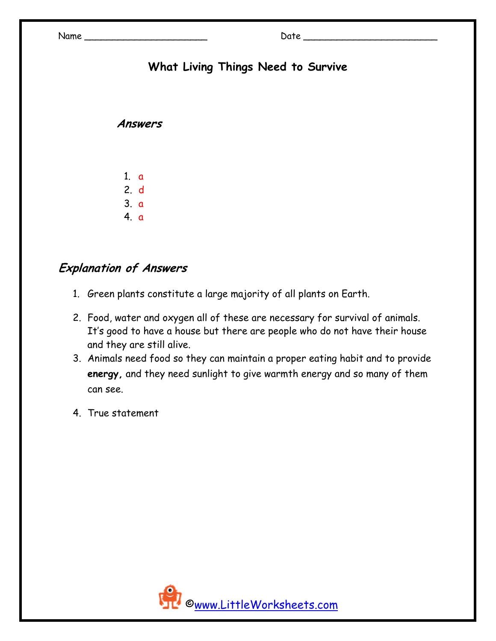# **What Living Things Need to Survive**

#### **Answers**

- 1. a 2. d
- 3. a
- 4. a

## **Explanation of Answers**

- 1. Green plants constitute a large majority of all plants on Earth.
- 2. Food, water and oxygen all of these are necessary for survival of animals. It's good to have a house but there are people who do not have their house and they are still alive.
- 3. Animals need food so they can maintain a proper eating habit and to provide **energy,** and they need sunlight to give warmth energy and so many of them can see.
- 4. True statement